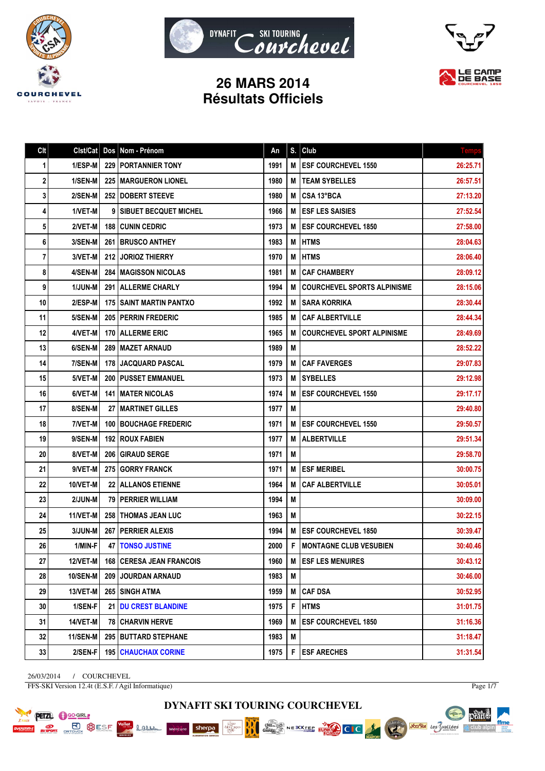





# **26 MARS 2014 Résultats Officiels**

| Clt | Clst/Cat        | Dos   | Nom - Prénom                      | An   | S. | Club                               | <b>Temps</b> |
|-----|-----------------|-------|-----------------------------------|------|----|------------------------------------|--------------|
| 1   | 1/ESP-M         |       | <b>229   PORTANNIER TONY</b>      | 1991 | M  | <b>ESF COURCHEVEL 1550</b>         | 26:25.71     |
| 2   | 1/SEN-M         |       | <b>225   MARGUERON LIONEL</b>     | 1980 | м  | <b>TEAM SYBELLES</b>               | 26:57.51     |
| 3   | 2/SEN-M         |       | 252 DOBERT STEEVE                 | 1980 | M  | CSA 13°BCA                         | 27:13.20     |
| 4   | 1/VET-M         |       | <b>9 SIBUET BECQUET MICHEL</b>    | 1966 | M  | <b>ESF LES SAISIES</b>             | 27:52.54     |
| 5   | 2/VET-M         |       | <b>188 I CUNIN CEDRIC</b>         | 1973 | М  | <b>ESF COURCHEVEL 1850</b>         | 27:58.00     |
| 6   | 3/SEN-M         |       | <b>261   BRUSCO ANTHEY</b>        | 1983 | M  | <b>HTMS</b>                        | 28:04.63     |
| 7   | 3/VET-M         |       | <b>212 JORIOZ THIERRY</b>         | 1970 | М  | <b>HTMS</b>                        | 28:06.40     |
| 8   | 4/SEN-M         | 284   | I MAGISSON NICOLAS                | 1981 | M  | <b>CAF CHAMBERY</b>                | 28:09.12     |
| 9   | 1/JUN-M         |       | 291 ALLERME CHARLY                | 1994 | M  | <b>COURCHEVEL SPORTS ALPINISME</b> | 28:15.06     |
| 10  | 2/ESP-M         |       | <b>175 I SAINT MARTIN PANTXO</b>  | 1992 | M  | <b>SARA KORRIKA</b>                | 28:30.44     |
| 11  | 5/SEN-M         |       | 205 PERRIN FREDERIC               | 1985 | M  | <b>CAF ALBERTVILLE</b>             | 28:44.34     |
| 12  | 4/VET-M         |       | <b>170   ALLERME ERIC</b>         | 1965 | M  | <b>COURCHEVEL SPORT ALPINISME</b>  | 28:49.69     |
| 13  | 6/SEN-M         |       | 289   MAZET ARNAUD                | 1989 | M  |                                    | 28:52.22     |
| 14  | 7/SEN-M         | 178 I | <b>JACQUARD PASCAL</b>            | 1979 | M  | <b>CAF FAVERGES</b>                | 29:07.83     |
| 15  | 5/VET-M         |       | <b>200   PUSSET EMMANUEL</b>      | 1973 | м  | <b>SYBELLES</b>                    | 29:12.98     |
| 16  | 6/VET-M         |       | <b>141   MATER NICOLAS</b>        | 1974 | M  | <b>ESF COURCHEVEL 1550</b>         | 29:17.17     |
| 17  | 8/SEN-M         |       | <b>27 IMARTINET GILLES</b>        | 1977 | M  |                                    | 29:40.80     |
| 18  | 7/VET-M         |       | <b>100 BOUCHAGE FREDERIC</b>      | 1971 | M  | <b>ESF COURCHEVEL 1550</b>         | 29:50.57     |
| 19  | 9/SEN-M         |       | <b>192   ROUX FABIEN</b>          | 1977 | M  | <b>ALBERTVILLE</b>                 | 29:51.34     |
| 20  | 8/VET-M         |       | 206 GIRAUD SERGE                  | 1971 | М  |                                    | 29:58.70     |
| 21  | 9/VET-M         | 275   | <b>GORRY FRANCK</b>               | 1971 | M  | <b>ESF MERIBEL</b>                 | 30:00.75     |
| 22  | 10/VET-M        |       | 22 ALLANOS ETIENNE                | 1964 | М  | <b>CAF ALBERTVILLE</b>             | 30:05.01     |
| 23  | 2/JUN-M         |       | <b>79   PERRIER WILLIAM</b>       | 1994 | M  |                                    | 30:09.00     |
| 24  | 11/VET-M        |       | 258   THOMAS JEAN LUC             | 1963 | M  |                                    | 30:22.15     |
| 25  | 3/JUN-M         |       | 267   PERRIER ALEXIS              | 1994 | M  | <b>ESF COURCHEVEL 1850</b>         | 30:39.47     |
| 26  | 1/MIN-F         |       | <b>47   TONSO JUSTINE</b>         | 2000 | F  | <b>MONTAGNE CLUB VESUBIEN</b>      | 30:40.46     |
| 27  | <b>12/VET-M</b> |       | <b>168   CERESA JEAN FRANCOIS</b> | 1960 | М  | <b>ESF LES MENUIRES</b>            | 30:43.12     |
| 28  | 10/SEN-M        |       | 209 JOURDAN ARNAUD                | 1983 | M  |                                    | 30:46.00     |
| 29  | 13/VET-M        |       | 265 SINGH ATMA                    | 1959 | M  | <b>CAF DSA</b>                     | 30:52.95     |
| 30  | 1/SEN-F         |       | 21 DU CREST BLANDINE              | 1975 | F  | <b>HTMS</b>                        | 31:01.75     |
| 31  | <b>14/VET-M</b> |       | <b>78 CHARVIN HERVE</b>           | 1969 | M  | <b>ESF COURCHEVEL 1850</b>         | 31:16.36     |
| 32  | 11/SEN-M        |       | 295   BUTTARD STEPHANE            | 1983 | M  |                                    | 31:18.47     |
| 33  | 2/SEN-F         |       | <b>195   CHAUCHAIX CORINE</b>     | 1975 | F  | <b>ESF ARECHES</b>                 | 31:31.54     |

26/03/2014 / COURCHEVEL FFS-SKI Version 12.4t (E.S.F. / Agil Informatique)

**PETZL C** GO-GIRL

**E SO BUSE** 

Page 1/7

pearts.

 $\mathbb{A}$  club alpin

ffme

**Sociétés** des Vallées



Chez...<br>Gaulois

NEXXTEE EVALUATION

BBO

Mercure Sherpa

Lamen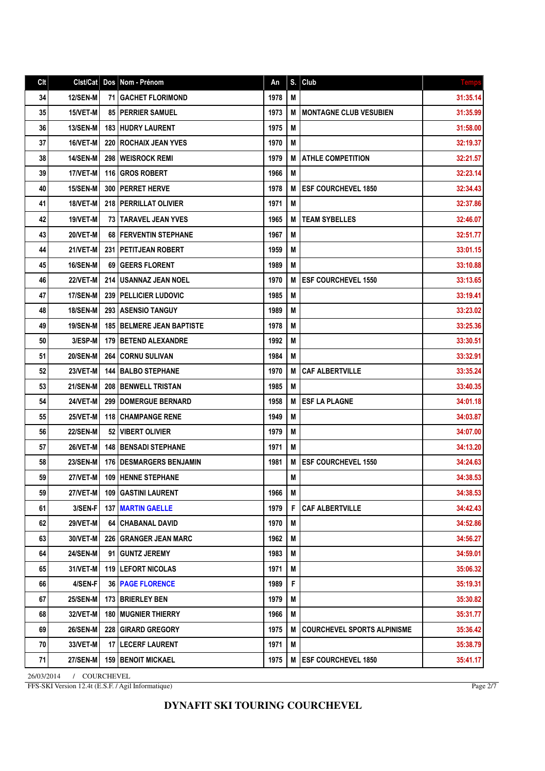## Clt Clst/Cat Dos Nom - Prénom An S. Club 34 | 12/SEN-M 71 GACHET FLORIMOND | 1978 M 31:35.14 | 31:35.14 35 15/VET-M 85 PERRIER SAMUEL 1973 M MONTAGNE CLUB VESUBIEN 1973 M 36 | 13/SEN-M | 183 | HUDRY LAURENT | 1975 | M | 1975 | M | 31:58.00 37 | 16/VET-M | 220 | ROCHAIX JEAN YVES | 1970 | M | 1970 | M | 32:19.37 38 14/SEN-M 298 WEISROCK REMI 1979 M ATHLE COMPETITION 32:21.57 39 17/VET-M 116 GROS ROBERT 1966 M 32:23.14 40 15/SEN-M 300 PERRET HERVE 1978 M ESF COURCHEVEL 1850 32:34.43 41 18/VET-M 218 PERRILLAT OLIVIER 1971 M 32:37.86 42 | 19/VET-M | 73 TARAVEL JEAN YVES | 1965 | M | TEAM SYBELLES | 32:46.07 43 20/VET-M 68 FERVENTIN STEPHANE 1967 M 32:51.77 44 21/VET-M 231 PETITJEAN ROBERT 1959 M 33:01.15 45 | 16/SEN-M 69 | GEERS FLORENT | 1989 | M 33:10.88 | M | 33:10.88 46 22/VET-M 214 USANNAZ JEAN NOEL 1970 M ESF COURCHEVEL 1550 33:13.65 47 | 17/SEN-M | 239 | PELLICIER LUDOVIC | 1985 | M | 1985 | M | 33:19.41 48 | 18/SEN-M | 293 | ASENSIO TANGUY | 1989 | 1989 | M | 1989 | M | 33:23.02 49 | 19/SEN-M | 185 |BELMERE JEAN BAPTISTE | 1978 | M | 1978 | M | 33:25.36 50 3/ESP-M | 179 | BETEND ALEXANDRE | 1992 | M | 33:30.51 51 20/SEN-M 264 CORNU SULIVAN 1984 M 33:32.91 33:32.91 52 23/VET-M | 144 BALBO STEPHANE 1970 | M CAF ALBERTVILLE 1970 | 33:35.24 53 21/SEN-M 208 BENWELL TRISTAN 1985 M 33:40.35 M 54 24/VET-M 299 DOMERGUE BERNARD 1958 M ESF LA PLAGNE 34:01.18 55 25/VET-M 118 CHAMPANGE RENE 1949 M 34:03.87 56 22/SEN-M 52 VIBERT OLIVIER 1979 M 34:07.00 57 26/VET-M 148 BENSADI STEPHANE 1971 M 34:13.20 58 23/SEN-M 176 DESMARGERS BENJAMIN 1981 | M | ESF COURCHEVEL 1550 23/SEN-M | 1981 34:24.63 59 27/VET-M 109 HENNE STEPHANE MERRY AND MILLET MILLET MILLET S4:38.53 59 27/VET-M 109 GASTINI LAURENT 1966 M 34:38.53 61 3/SEN-F 137 MARTIN GAELLE 1979 F CAF ALBERTVILLE 34:42.43 62 29/VET-M 64 CHABANAL DAVID 1970 M 34:52.86 63 30/VET-M 226 GRANGER JEAN MARC 1962 M 34:56.27 64 24/SEN-M 91 GUNTZ JEREMY 1983 M 34:59.01 65 31/VET-M 119 LEFORT NICOLAS 1971 M 35:06.32 66 4/SEN-F 36 PAGE FLORENCE 1989 F 35:19.31 67 25/SEN-M 173 BRIERLEY BEN 1979 M 35:30.82 68 32/VET-M 180 MUGNIER THIERRY 1966 M 35:31.77 69 26/SEN-M 228 GIRARD GREGORY 1975 M COURCHEVEL SPORTS ALPINISME 35:36.42 70 33/VET-M 17 LECERF LAURENT 1971 M 35:38.79 71 27/SEN-M | 159 BENOIT MICKAEL 1975 | M | 1975 | M | N | ESF COURCHEVEL 1850

26/03/2014 / COURCHEVEL FFS-SKI Version 12.4t (E.S.F. / Agil Informatique)

Page 2/7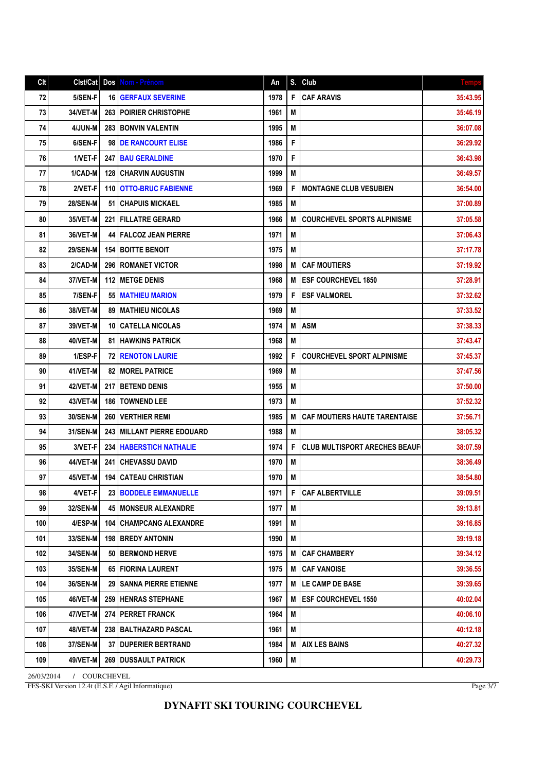| Clt | Clst/Cat        | Dos   | Nom - Prénom                   | An   | S. | <b>Club</b>                          | <b>Temps</b> |
|-----|-----------------|-------|--------------------------------|------|----|--------------------------------------|--------------|
| 72  | 5/SEN-F         | 16    | <b>GERFAUX SEVERINE</b>        | 1978 | F  | <b>CAF ARAVIS</b>                    | 35:43.95     |
| 73  | 34/VET-M        |       | 263   POIRIER CHRISTOPHE       | 1961 | M  |                                      | 35:46.19     |
| 74  | 4/JUN-M         | 283   | <b>BONVIN VALENTIN</b>         | 1995 | M  |                                      | 36:07.08     |
| 75  | 6/SEN-F         | 98    | <b>DE RANCOURT ELISE</b>       | 1986 | F  |                                      | 36:29.92     |
| 76  | 1/VET-F         |       | 247 BAU GERALDINE              | 1970 | F  |                                      | 36:43.98     |
| 77  | 1/CAD-M         | 128   | <b>CHARVIN AUGUSTIN</b>        | 1999 | M  |                                      | 36:49.57     |
| 78  | 2/VET-F         | 110   | <b>OTTO-BRUC FABIENNE</b>      | 1969 | F  | <b>MONTAGNE CLUB VESUBIEN</b>        | 36:54.00     |
| 79  | <b>28/SEN-M</b> | 51    | <b>CHAPUIS MICKAEL</b>         | 1985 | M  |                                      | 37:00.89     |
| 80  | 35/VET-M        | 221 I | <b>FILLATRE GERARD</b>         | 1966 | М  | <b>COURCHEVEL SPORTS ALPINISME</b>   | 37:05.58     |
| 81  | 36/VET-M        |       | <b>44   FALCOZ JEAN PIERRE</b> | 1971 | M  |                                      | 37:06.43     |
| 82  | <b>29/SEN-M</b> | 154   | <b>BOITTE BENOIT</b>           | 1975 | M  |                                      | 37:17.78     |
| 83  | 2/CAD-M         | 296   | <b>ROMANET VICTOR</b>          | 1998 | M  | <b>CAF MOUTIERS</b>                  | 37:19.92     |
| 84  | 37/VET-M        | 112   | <b>METGE DENIS</b>             | 1968 | M  | <b>ESF COURCHEVEL 1850</b>           | 37:28.91     |
| 85  | 7/SEN-F         | 55    | <b>MATHIEU MARION</b>          | 1979 | F  | <b>ESF VALMOREL</b>                  | 37:32.62     |
| 86  | 38/VET-M        |       | <b>89   MATHIEU NICOLAS</b>    | 1969 | М  |                                      | 37:33.52     |
| 87  | 39/VET-M        | 10    | <b>CATELLA NICOLAS</b>         | 1974 | M  | <b>ASM</b>                           | 37:38.33     |
| 88  | 40/VET-M        |       | <b>81 HAWKINS PATRICK</b>      | 1968 | M  |                                      | 37:43.47     |
| 89  | 1/ESP-F         |       | <b>72   RENOTON LAURIE</b>     | 1992 | F  | <b>COURCHEVEL SPORT ALPINISME</b>    | 37:45.37     |
| 90  | 41/VET-M        |       | <b>82   MOREL PATRICE</b>      | 1969 | M  |                                      | 37:47.56     |
| 91  | 42/VET-M        | 217   | <b>BETEND DENIS</b>            | 1955 | M  |                                      | 37:50.00     |
| 92  | 43/VET-M        | 186   | <b>TOWNEND LEE</b>             | 1973 | M  |                                      | 37:52.32     |
| 93  | <b>30/SEN-M</b> | 260   | <b>VERTHIER REMI</b>           | 1985 | M  | <b>CAF MOUTIERS HAUTE TARENTAISE</b> | 37:56.71     |
| 94  | <b>31/SEN-M</b> | 243   | <b>MILLANT PIERRE EDOUARD</b>  | 1988 | M  |                                      | 38:05.32     |
| 95  | 3/VET-F         | 234   | <b>HABERSTICH NATHALIE</b>     | 1974 | F  | <b>CLUB MULTISPORT ARECHES BEAUF</b> | 38:07.59     |
| 96  | 44/VET-M        | 241   | <b>CHEVASSU DAVID</b>          | 1970 | M  |                                      | 38:36.49     |
| 97  | 45/VET-M        | 194   | <b>CATEAU CHRISTIAN</b>        | 1970 | M  |                                      | 38:54.80     |
| 98  | 4/VET-F         |       | 23 BODDELE EMMANUELLE          | 1971 | F  | <b>CAF ALBERTVILLE</b>               | 39:09.51     |
| 99  | 32/SEN-M        |       | 45   MONSEUR ALEXANDRE         | 1977 | M  |                                      | 39:13.81     |
| 100 | 4/ESP-M         | 104   | <b>CHAMPCANG ALEXANDRE</b>     | 1991 | M  |                                      | 39:16.85     |
| 101 | 33/SEN-M        | 198 I | <b>BREDY ANTONIN</b>           | 1990 | M  |                                      | 39:19.18     |
| 102 | 34/SEN-M        | 50    | <b>BERMOND HERVE</b>           | 1975 | M  | <b>CAF CHAMBERY</b>                  | 39:34.12     |
| 103 | 35/SEN-M        |       | 65 FIORINA LAURENT             | 1975 | M  | <b>CAF VANOISE</b>                   | 39:36.55     |
| 104 | 36/SEN-M        |       | <b>29 SANNA PIERRE ETIENNE</b> | 1977 | M  | LE CAMP DE BASE                      | 39:39.65     |
| 105 | 46/VET-M        |       | 259 HENRAS STEPHANE            | 1967 | M  | <b>ESF COURCHEVEL 1550</b>           | 40:02.04     |
| 106 | 47/VET-M        |       | 274 PERRET FRANCK              | 1964 | M  |                                      | 40:06.10     |
| 107 | 48/VET-M        |       | 238   BALTHAZARD PASCAL        | 1961 | M  |                                      | 40:12.18     |
| 108 | 37/SEN-M        | 37    | <b>DUPERIER BERTRAND</b>       | 1984 | M  | <b>AIX LES BAINS</b>                 | 40:27.32     |
| 109 | 49/VET-M        | 269   | <b>DUSSAULT PATRICK</b>        | 1960 | M  |                                      | 40:29.73     |

26/03/2014 / COURCHEVEL FFS-SKI Version 12.4t (E.S.F. / Agil Informatique)

Page 3/7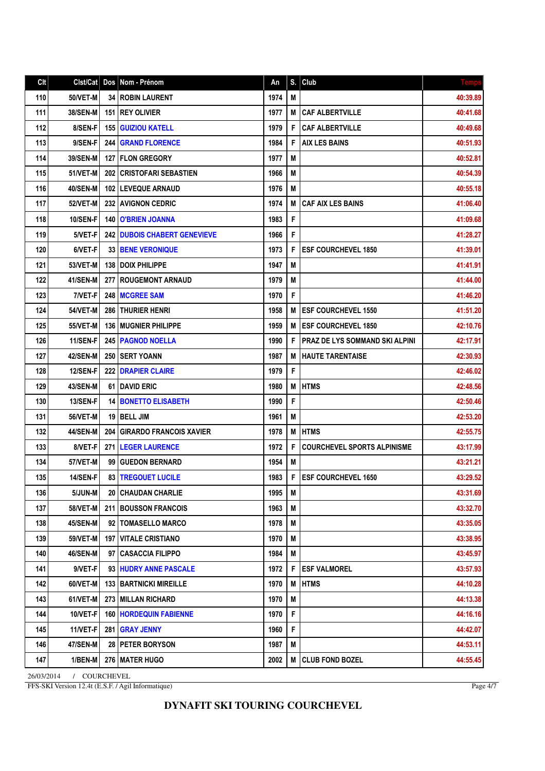#### **DYNAFIT SKI TOURING COURCHEVEL**

26/03/2014 / COURCHEVEL FFS-SKI Version 12.4t (E.S.F. / Agil Informatique)

Page 4/7

| Cl <sub>t</sub> | Clst/Cat        |     | Dos   Nom - Prénom              | An   | S. | $ $ Club                              | <b>Temps</b> |
|-----------------|-----------------|-----|---------------------------------|------|----|---------------------------------------|--------------|
| 110             | 50/VET-M        | 34  | <b>ROBIN LAURENT</b>            | 1974 | M  |                                       | 40:39.89     |
| 111             | <b>38/SEN-M</b> | 151 | <b>REY OLIVIER</b>              | 1977 | M  | <b>CAF ALBERTVILLE</b>                | 40:41.68     |
| 112             | 8/SEN-F         | 155 | <b>GUIZIOU KATELL</b>           | 1979 | F  | <b>CAF ALBERTVILLE</b>                | 40:49.68     |
| 113             | 9/SEN-F         | 244 | <b>GRAND FLORENCE</b>           | 1984 | F  | <b>AIX LES BAINS</b>                  | 40:51.93     |
| 114             | 39/SEN-M        |     | <b>127 IFLON GREGORY</b>        | 1977 | M  |                                       | 40:52.81     |
| 115             | <b>51/VET-M</b> | 202 | <b>CRISTOFARI SEBASTIEN</b>     | 1966 | M  |                                       | 40:54.39     |
| 116             | <b>40/SEN-M</b> |     | 102   LEVEQUE ARNAUD            | 1976 | М  |                                       | 40:55.18     |
| 117             | <b>52/VET-M</b> | 232 | <b>AVIGNON CEDRIC</b>           | 1974 | M  | <b>CAF AIX LES BAINS</b>              | 41:06.40     |
| 118             | <b>10/SEN-F</b> | 140 | <b>O'BRIEN JOANNA</b>           | 1983 | F  |                                       | 41:09.68     |
| 119             | 5/VET-F         |     | 242 DUBOIS CHABERT GENEVIEVE    | 1966 | F  |                                       | 41:28.27     |
| 120             | 6/VET-F         |     | <b>33   BENE VERONIQUE</b>      | 1973 | F  | <b>ESF COURCHEVEL 1850</b>            | 41:39.01     |
| 121             | <b>53/VET-M</b> | 138 | <b>DOIX PHILIPPE</b>            | 1947 | M  |                                       | 41:41.91     |
| 122             | 41/SEN-M        | 277 | <b>ROUGEMONT ARNAUD</b>         | 1979 | M  |                                       | 41:44.00     |
| 123             | 7/VET-F         | 248 | <b>MCGREE SAM</b>               | 1970 | F  |                                       | 41:46.20     |
| 124             | <b>54/VET-M</b> | 286 | <b>THURIER HENRI</b>            | 1958 | M  | <b>ESF COURCHEVEL 1550</b>            | 41:51.20     |
| 125             | <b>55/VET-M</b> | 136 | <b>MUGNIER PHILIPPE</b>         | 1959 | M  | <b>ESF COURCHEVEL 1850</b>            | 42:10.76     |
| 126             | 11/SEN-F        |     | <b>245   PAGNOD NOELLA</b>      | 1990 | F  | <b>PRAZ DE LYS SOMMAND SKI ALPINI</b> | 42:17.91     |
| 127             | <b>42/SEN-M</b> | 250 | I SERT YOANN                    | 1987 | M  | <b>HAUTE TARENTAISE</b>               | 42:30.93     |
| 128             | 12/SEN-F        | 222 | <b>DRAPIER CLAIRE</b>           | 1979 | F  |                                       | 42:46.02     |
| 129             | 43/SEN-M        | 61  | <b>IDAVID ERIC</b>              | 1980 | M  | <b>HTMS</b>                           | 42:48.56     |
| 130             | 13/SEN-F        |     | <b>14 BONETTO ELISABETH</b>     | 1990 | F  |                                       | 42:50.46     |
| 131             | <b>56/VET-M</b> | 19  | <b>BELL JIM</b>                 | 1961 | M  |                                       | 42:53.20     |
| 132             | 44/SEN-M        | 204 | <b>GIRARDO FRANCOIS XAVIER</b>  | 1978 | M  | <b>HTMS</b>                           | 42:55.75     |
| 133             | 8/VET-F         | 271 | <b>LEGER LAURENCE</b>           | 1972 | F  | <b>COURCHEVEL SPORTS ALPINISME</b>    | 43:17.99     |
| 134             | 57/VET-M        | 99  | <b>GUEDON BERNARD</b>           | 1954 | М  |                                       | 43:21.21     |
| 135             | <b>14/SEN-F</b> |     | <b>83   TREGOUET LUCILE</b>     | 1983 | F  | <b>IESF COURCHEVEL 1650</b>           | 43:29.52     |
| 136             | 5/JUN-M         |     | <b>20 CHAUDAN CHARLIE</b>       | 1995 | M  |                                       | 43:31.69     |
| 137             | <b>58/VET-M</b> |     | 211 BOUSSON FRANCOIS            | 1963 | M  |                                       | 43:32.70     |
| 138             | <b>45/SEN-M</b> |     | 92   TOMASELLO MARCO            | 1978 | М  |                                       | 43:35.05     |
| 139             | <b>59/VET-M</b> |     | <b>197 VITALE CRISTIANO</b>     | 1970 | M  |                                       | 43:38.95     |
| 140             | 46/SEN-M        |     | 97   CASACCIA FILIPPO           | 1984 | M  |                                       | 43:45.97     |
| 141             | 9/VET-F         |     | 93 HUDRY ANNE PASCALE           | 1972 | F  | <b>IESF VALMOREL</b>                  | 43:57.93     |
| 142             | 60/VET-M        |     | <b>133   BARTNICKI MIREILLE</b> | 1970 | M  | <b>HTMS</b>                           | 44:10.28     |
| 143             | 61/VET-M        |     | 273 MILLAN RICHARD              | 1970 | M  |                                       | 44:13.38     |
| 144             | 10/VET-F        |     | <b>160   HORDEQUIN FABIENNE</b> | 1970 | F  |                                       | 44:16.16     |
| 145             | 11/VET-F        | 281 | <b>GRAY JENNY</b>               | 1960 | F  |                                       | 44:42.07     |
| 146             | 47/SEN-M        |     | 28   PETER BORYSON              | 1987 | M  |                                       | 44:53.11     |
| 147             | 1/BEN-M         |     | 276   MATER HUGO                | 2002 | M  | <b>CLUB FOND BOZEL</b>                | 44:55.45     |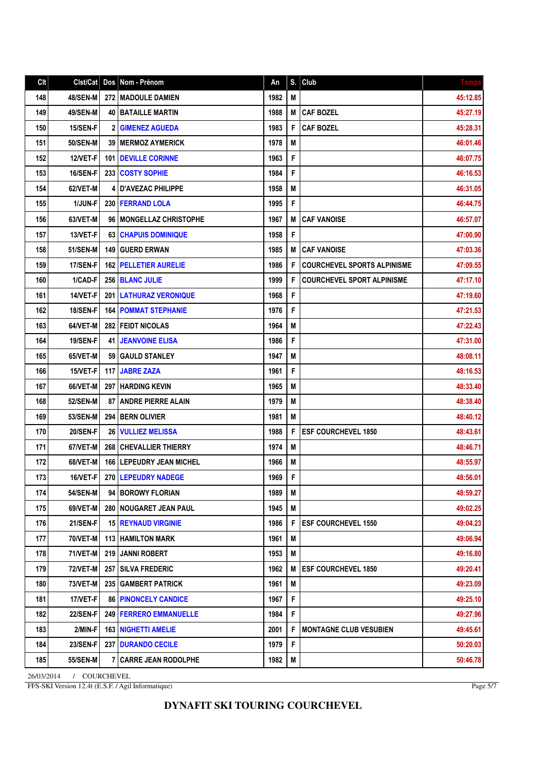## Clt Clst/Cat Dos Nom - Prénom An S. Club 148 48/SEN-M 272 MADOULE DAMIEN 1982 M 45:12.85 149 49/SEN-M 40 BATAILLE MARTIN 1988 M CAF BOZEL 45:27.19 150 15/SEN-F 2 GIMENEZ AGUEDA 1983 F CAF BOZEL 45:28.31 151 50/SEN-M 39 MERMOZ AYMERICK 1978 M 30 1978 M 46:01.46 152 12/VET-F 101 DEVILLE CORINNE 1963 F 1963 F 1963 1 T 1963 1 T 1963 1 T 1963 1 T 1963 1 T 197.75 153 16/SEN-F 233 COSTY SOPHIE 1984 F 46:16.53 154 62/VET-M 4 D'AVEZAC PHILIPPE 1958 M 46:31.05 155 1/JUN-F 230 FERRAND LOLA 1995 F 1995 F 1995 15 1995 15 1995 15 16:44.75 156 63/VET-M 96 MONGELLAZ CHRISTOPHE 1967 M CAF VANOISE 63/VET-M 46:57.07 157 13/VET-F 63 CHAPUIS DOMINIQUE 1958 F 1958 F 1958 1 20090 158 51/SEN-M 149 GUERD ERWAN 1985 M CAF VANOISE 51/SEN-M 1985 M 27:03.36 159 17/SEN-F 162 PELLETIER AURELIE 1986 F COURCHEVEL SPORTS ALPINISME 1986 160 1/CAD-F 256 BLANC JULIE 1999 F COURCHEVEL SPORT ALPINISME 1999 161 14/VET-F 201 LATHURAZ VERONIQUE 1968 F 47:19.60 162 18/SEN-F 164 POMMAT STEPHANIE 1976 F 2013 1976 F 47:21.53 163 64/VET-M 282 FEIDT NICOLAS 1964 M 47:22.43 164 19/SEN-F 41 JEANVOINE ELISA | 1986 F | 1986 | 1987 | 1987 | 1987:31.00 165 65/VET-M 59 GAULD STANLEY 1947 M 48:08.11 166 | 15/VET-F | 117 | JABRE ZAZA | 1961 | 1961 | F | 15/VET-F | 117 | JABRE ZAZA 167 66/VET-M 297 HARDING KEVIN 1965 M 48:33.40 48:33.40 168 52/SEN-M 87 ANDRE PIERRE ALAIN 1979 M 48:38.40 169 | 53/SEN-M | 294 | BERN OLIVIER | 1981 | 1981 | M | 1981 | M | 1981 | 1981 | 1981 | 1981 | 1981 | 1981 | M 170 20/SEN-F 26 VULLIEZ MELISSA 1988 F ESF COURCHEVEL 1850 48:43.61 171 67/VET-M 268 CHEVALLIER THIERRY 1974 M 48:46.71 172 68/VET-M 166 LEPEUDRY JEAN MICHEL 1966 M 48:55.97 (1966 M 48:55.97 173 16/VET-F 270 LEPEUDRY NADEGE 1969 F 1969 F 1969 1 200 1 200 1 48:56.01 174 54/SEN-M 94 BOROWY FLORIAN 1989 M 36.59.27 175 69/VET-M 280 NOUGARET JEAN PAUL 1945 M 49:02.25 176 21/SEN-F 15 REYNAUD VIRGINIE 1986 | F ESF COURCHEVEL 1550 21/SEN-F 159:04.23 177 70/VET-M 113 HAMILTON MARK 1960 1961 M 49:06.94 178 71/VET-M 219 JANNI ROBERT 1953 M 49:16.80 179 72/VET-M 257 SILVA FREDERIC 1962 M ESF COURCHEVEL 1850 49:20.41 180 73/VET-M 235 GAMBERT PATRICK 1961 M 49:23.09 181 17/VET-F 86 PINONCELY CANDICE 1967 F 1967 F 1967 1967 1968 1979 1989 1999 1999 1999 1999 1999 19 182 22/SEN-F 249 FERRERO EMMANUELLE 1984 F 1984 F 22/SEN-F 249:27.96 183 2/MIN-F 163 NIGHETTI AMELIE 2001 F MONTAGNE CLUB VESUBIEN 49:45.61 184 23/SEN-F 237 DURANDO CECILE 1979 F 50:20.03 185 55/SEN-M 7 CARRE JEAN RODOLPHE 1982 M 50:46.78 1982 M 50:46.78

26/03/2014 / COURCHEVEL FFS-SKI Version 12.4t (E.S.F. / Agil Informatique)

Page 5/7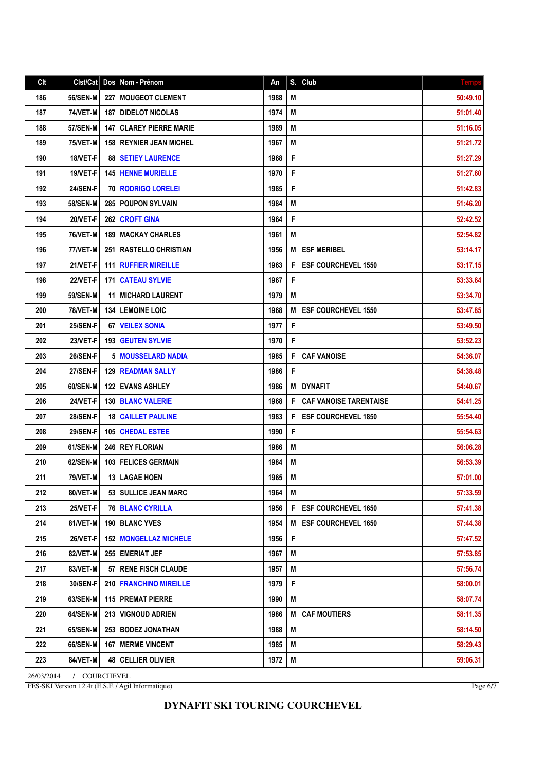| Clt | Clst/Cat        | Dos   | Nom - Prénom                    | An   | S.          | Club                          | <b>Temps</b> |
|-----|-----------------|-------|---------------------------------|------|-------------|-------------------------------|--------------|
| 186 | <b>56/SEN-M</b> |       | 227 MOUGEOT CLEMENT             | 1988 | M           |                               | 50:49.10     |
| 187 | 74/VET-M        |       | <b>187 I DIDELOT NICOLAS</b>    | 1974 | М           |                               | 51:01.40     |
| 188 | <b>57/SEN-M</b> | 147 I | <b>CLAREY PIERRE MARIE</b>      | 1989 | M           |                               | 51:16.05     |
| 189 | 75/VET-M        |       | <b>158 IREYNIER JEAN MICHEL</b> | 1967 | M           |                               | 51:21.72     |
| 190 | 18/VET-F        |       | <b>88   SETIEY LAURENCE</b>     | 1968 | F           |                               | 51:27.29     |
| 191 | 19/VET-F        |       | <b>145 HENNE MURIELLE</b>       | 1970 | F           |                               | 51:27.60     |
| 192 | <b>24/SEN-F</b> |       | <b>70 RODRIGO LORELEI</b>       | 1985 | F           |                               | 51:42.83     |
| 193 | 58/SEN-M        |       | 285 POUPON SYLVAIN              | 1984 | M           |                               | 51:46.20     |
| 194 | 20/VET-F        | 262   | <b>CROFT GINA</b>               | 1964 | F           |                               | 52:42.52     |
| 195 | <b>76/VET-M</b> |       | <b>189   MACKAY CHARLES</b>     | 1961 | M           |                               | 52:54.82     |
| 196 | 77/VET-M        |       | 251   RASTELLO CHRISTIAN        | 1956 | M           | <b>ESF MERIBEL</b>            | 53:14.17     |
| 197 | 21/VET-F        |       | <b>111 RUFFIER MIREILLE</b>     | 1963 | F           | <b>ESF COURCHEVEL 1550</b>    | 53:17.15     |
| 198 | 22/VET-F        | 171 I | <b>CATEAU SYLVIE</b>            | 1967 | F           |                               | 53:33.64     |
| 199 | <b>59/SEN-M</b> |       | <b>11 I MICHARD LAURENT</b>     | 1979 | M           |                               | 53:34.70     |
| 200 | <b>78/VET-M</b> |       | <b>134   LEMOINE LOIC</b>       | 1968 | M           | <b>ESF COURCHEVEL 1550</b>    | 53:47.85     |
| 201 | <b>25/SEN-F</b> |       | 67   VEILEX SONIA               | 1977 | F           |                               | 53:49.50     |
| 202 | 23/VET-F        |       | <b>193 GEUTEN SYLVIE</b>        | 1970 | F           |                               | 53:52.23     |
| 203 | <b>26/SEN-F</b> |       | <b>5   MOUSSELARD NADIA</b>     | 1985 | F           | <b>CAF VANOISE</b>            | 54:36.07     |
| 204 | <b>27/SEN-F</b> |       | <b>129 READMAN SALLY</b>        | 1986 | F           |                               | 54:38.48     |
| 205 | 60/SEN-M        |       | <b>122 I EVANS ASHLEY</b>       | 1986 | M           | <b>DYNAFIT</b>                | 54:40.67     |
| 206 | 24/VET-F        |       | <b>130 BLANC VALERIE</b>        | 1968 | F           | <b>CAF VANOISE TARENTAISE</b> | 54:41.25     |
| 207 | <b>28/SEN-F</b> |       | <b>18   CAILLET PAULINE</b>     | 1983 | F           | <b>ESF COURCHEVEL 1850</b>    | 55:54.40     |
| 208 | <b>29/SEN-F</b> |       | 105 CHEDAL ESTEE                | 1990 | F           |                               | 55:54.63     |
| 209 | 61/SEN-M        |       | 246 REY FLORIAN                 | 1986 | M           |                               | 56:06.28     |
| 210 | 62/SEN-M        |       | 103 FELICES GERMAIN             | 1984 | M           |                               | 56:53.39     |
| 211 | <b>79/VET-M</b> |       | 13   LAGAE HOEN                 | 1965 | M           |                               | 57:01.00     |
| 212 | 80/VET-M        |       | 53 SULLICE JEAN MARC            | 1964 | M           |                               | 57:33.59     |
| 213 | 25/VET-F        |       | <b>76 BLANC CYRILLA</b>         | 1956 | F           | <b>ESF COURCHEVEL 1650</b>    | 57:41.38     |
| 214 | 81/VET-M        |       | 190 BLANC YVES                  | 1954 | M           | <b>ESF COURCHEVEL 1650</b>    | 57:44.38     |
| 215 | 26/VET-F        |       | <b>152 IMONGELLAZ MICHELE</b>   | 1956 | F           |                               | 57:47.52     |
| 216 | 82/VET-M        |       | 255 EMERIAT JEF                 | 1967 | M           |                               | 57:53.85     |
| 217 | 83/VET-M        |       | <b>57 RENE FISCH CLAUDE</b>     | 1957 | M           |                               | 57:56.74     |
| 218 | 30/SEN-F        |       | 210   FRANCHINO MIREILLE        | 1979 | $\mathsf F$ |                               | 58:00.01     |
| 219 | 63/SEN-M        |       | <b>115   PREMAT PIERRE</b>      | 1990 | M           |                               | 58:07.74     |
| 220 | 64/SEN-M        |       | 213   VIGNOUD ADRIEN            | 1986 | M           | <b>CAF MOUTIERS</b>           | 58:11.35     |
| 221 | 65/SEN-M        |       | 253 BODEZ JONATHAN              | 1988 | M           |                               | 58:14.50     |
| 222 | 66/SEN-M        |       | <b>167   MERME VINCENT</b>      | 1985 | M           |                               | 58:29.43     |
| 223 | 84/VET-M        |       | <b>48   CELLIER OLIVIER</b>     | 1972 | M           |                               | 59:06.31     |

26/03/2014 / COURCHEVEL FFS-SKI Version 12.4t (E.S.F. / Agil Informatique)

Page 6/7